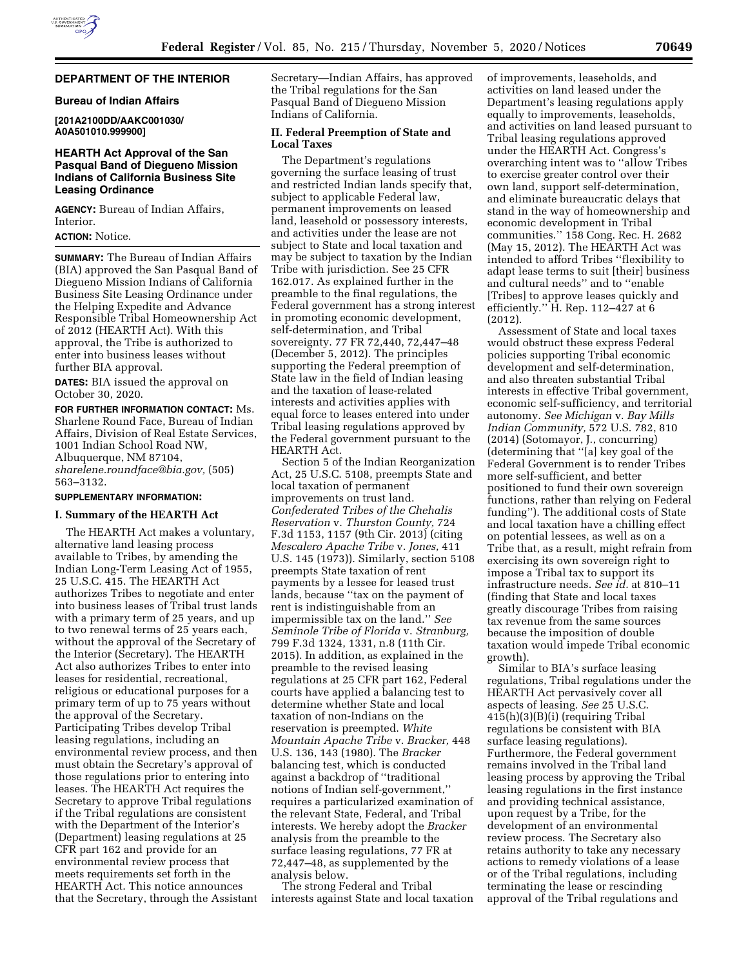

### **DEPARTMENT OF THE INTERIOR**

## **Bureau of Indian Affairs**

**[201A2100DD/AAKC001030/ A0A501010.999900]** 

### **HEARTH Act Approval of the San Pasqual Band of Diegueno Mission Indians of California Business Site Leasing Ordinance**

**AGENCY:** Bureau of Indian Affairs, Interior.

# **ACTION:** Notice.

**SUMMARY:** The Bureau of Indian Affairs (BIA) approved the San Pasqual Band of Diegueno Mission Indians of California Business Site Leasing Ordinance under the Helping Expedite and Advance Responsible Tribal Homeownership Act of 2012 (HEARTH Act). With this approval, the Tribe is authorized to enter into business leases without further BIA approval.

**DATES:** BIA issued the approval on October 30, 2020.

**FOR FURTHER INFORMATION CONTACT:** Ms. Sharlene Round Face, Bureau of Indian Affairs, Division of Real Estate Services, 1001 Indian School Road NW, Albuquerque, NM 87104, *[sharelene.roundface@bia.gov,](mailto:sharelene.roundface@bia.gov)* (505) 563–3132.

## **SUPPLEMENTARY INFORMATION:**

## **I. Summary of the HEARTH Act**

The HEARTH Act makes a voluntary, alternative land leasing process available to Tribes, by amending the Indian Long-Term Leasing Act of 1955, 25 U.S.C. 415. The HEARTH Act authorizes Tribes to negotiate and enter into business leases of Tribal trust lands with a primary term of 25 years, and up to two renewal terms of 25 years each, without the approval of the Secretary of the Interior (Secretary). The HEARTH Act also authorizes Tribes to enter into leases for residential, recreational, religious or educational purposes for a primary term of up to 75 years without the approval of the Secretary. Participating Tribes develop Tribal leasing regulations, including an environmental review process, and then must obtain the Secretary's approval of those regulations prior to entering into leases. The HEARTH Act requires the Secretary to approve Tribal regulations if the Tribal regulations are consistent with the Department of the Interior's (Department) leasing regulations at 25 CFR part 162 and provide for an environmental review process that meets requirements set forth in the HEARTH Act. This notice announces that the Secretary, through the Assistant

Secretary—Indian Affairs, has approved the Tribal regulations for the San Pasqual Band of Diegueno Mission Indians of California.

## **II. Federal Preemption of State and Local Taxes**

The Department's regulations governing the surface leasing of trust and restricted Indian lands specify that, subject to applicable Federal law, permanent improvements on leased land, leasehold or possessory interests, and activities under the lease are not subject to State and local taxation and may be subject to taxation by the Indian Tribe with jurisdiction. See 25 CFR 162.017. As explained further in the preamble to the final regulations, the Federal government has a strong interest in promoting economic development, self-determination, and Tribal sovereignty. 77 FR 72,440, 72,447–48 (December 5, 2012). The principles supporting the Federal preemption of State law in the field of Indian leasing and the taxation of lease-related interests and activities applies with equal force to leases entered into under Tribal leasing regulations approved by the Federal government pursuant to the HEARTH Act.

Section 5 of the Indian Reorganization Act, 25 U.S.C. 5108, preempts State and local taxation of permanent improvements on trust land. *Confederated Tribes of the Chehalis Reservation* v. *Thurston County,* 724 F.3d 1153, 1157 (9th Cir. 2013) (citing *Mescalero Apache Tribe* v. *Jones,* 411 U.S. 145 (1973)). Similarly, section 5108 preempts State taxation of rent payments by a lessee for leased trust lands, because ''tax on the payment of rent is indistinguishable from an impermissible tax on the land.'' *See Seminole Tribe of Florida* v. *Stranburg,*  799 F.3d 1324, 1331, n.8 (11th Cir. 2015). In addition, as explained in the preamble to the revised leasing regulations at 25 CFR part 162, Federal courts have applied a balancing test to determine whether State and local taxation of non-Indians on the reservation is preempted. *White Mountain Apache Tribe* v. *Bracker,* 448 U.S. 136, 143 (1980). The *Bracker*  balancing test, which is conducted against a backdrop of ''traditional notions of Indian self-government,'' requires a particularized examination of the relevant State, Federal, and Tribal interests. We hereby adopt the *Bracker*  analysis from the preamble to the surface leasing regulations, 77 FR at 72,447–48, as supplemented by the analysis below.

The strong Federal and Tribal interests against State and local taxation of improvements, leaseholds, and activities on land leased under the Department's leasing regulations apply equally to improvements, leaseholds, and activities on land leased pursuant to Tribal leasing regulations approved under the HEARTH Act. Congress's overarching intent was to ''allow Tribes to exercise greater control over their own land, support self-determination, and eliminate bureaucratic delays that stand in the way of homeownership and economic development in Tribal communities.'' 158 Cong. Rec. H. 2682 (May 15, 2012). The HEARTH Act was intended to afford Tribes ''flexibility to adapt lease terms to suit [their] business and cultural needs'' and to ''enable [Tribes] to approve leases quickly and efficiently."  $\hat{H}$ . Rep. 112–427 at 6 (2012).

Assessment of State and local taxes would obstruct these express Federal policies supporting Tribal economic development and self-determination, and also threaten substantial Tribal interests in effective Tribal government, economic self-sufficiency, and territorial autonomy. *See Michigan* v. *Bay Mills Indian Community,* 572 U.S. 782, 810 (2014) (Sotomayor, J., concurring) (determining that ''[a] key goal of the Federal Government is to render Tribes more self-sufficient, and better positioned to fund their own sovereign functions, rather than relying on Federal funding''). The additional costs of State and local taxation have a chilling effect on potential lessees, as well as on a Tribe that, as a result, might refrain from exercising its own sovereign right to impose a Tribal tax to support its infrastructure needs. *See id.* at 810–11 (finding that State and local taxes greatly discourage Tribes from raising tax revenue from the same sources because the imposition of double taxation would impede Tribal economic growth).

Similar to BIA's surface leasing regulations, Tribal regulations under the HEARTH Act pervasively cover all aspects of leasing. *See* 25 U.S.C. 415(h)(3)(B)(i) (requiring Tribal regulations be consistent with BIA surface leasing regulations). Furthermore, the Federal government remains involved in the Tribal land leasing process by approving the Tribal leasing regulations in the first instance and providing technical assistance, upon request by a Tribe, for the development of an environmental review process. The Secretary also retains authority to take any necessary actions to remedy violations of a lease or of the Tribal regulations, including terminating the lease or rescinding approval of the Tribal regulations and